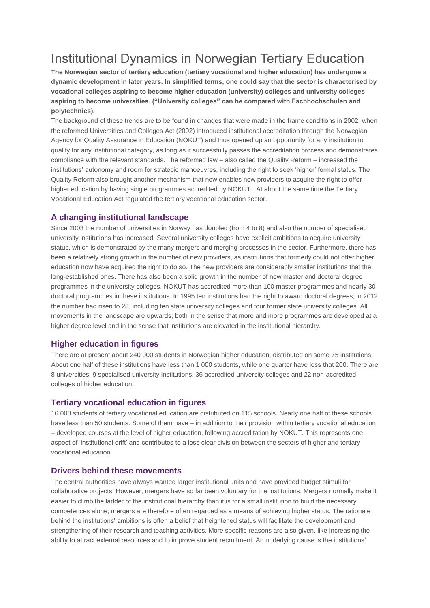# Institutional Dynamics in Norwegian Tertiary Education

**The Norwegian sector of tertiary education (tertiary vocational and higher education) has undergone a dynamic development in later years. In simplified terms, one could say that the sector is characterised by vocational colleges aspiring to become higher education (university) colleges and university colleges aspiring to become universities. ("University colleges" can be compared with Fachhochschulen and polytechnics).**

The background of these trends are to be found in changes that were made in the frame conditions in 2002, when the reformed Universities and Colleges Act (2002) introduced institutional accreditation through the Norwegian Agency for Quality Assurance in Education (NOKUT) and thus opened up an opportunity for any institution to qualify for any institutional category, as long as it successfully passes the accreditation process and demonstrates compliance with the relevant standards. The reformed law – also called the Quality Reform – increased the institutions' autonomy and room for strategic manoeuvres, including the right to seek 'higher' formal status. The Quality Reform also brought another mechanism that now enables new providers to acquire the right to offer higher education by having single programmes accredited by NOKUT. At about the same time the Tertiary Vocational Education Act regulated the tertiary vocational education sector.

## **A changing institutional landscape**

Since 2003 the number of universities in Norway has doubled (from 4 to 8) and also the number of specialised university institutions has increased. Several university colleges have explicit ambitions to acquire university status, which is demonstrated by the many mergers and merging processes in the sector. Furthermore, there has been a relatively strong growth in the number of new providers, as institutions that formerly could not offer higher education now have acquired the right to do so. The new providers are considerably smaller institutions that the long-established ones. There has also been a solid growth in the number of new master and doctoral degree programmes in the university colleges. NOKUT has accredited more than 100 master programmes and nearly 30 doctoral programmes in these institutions. In 1995 ten institutions had the right to award doctoral degrees; in 2012 the number had risen to 28, including ten state university colleges and four former state university colleges. All movements in the landscape are upwards; both in the sense that more and more programmes are developed at a higher degree level and in the sense that institutions are elevated in the institutional hierarchy.

# **Higher education in figures**

There are at present about 240 000 students in Norwegian higher education, distributed on some 75 institutions. About one half of these institutions have less than 1 000 students, while one quarter have less that 200. There are 8 universities, 9 specialised university institutions, 36 accredited university colleges and 22 non-accredited colleges of higher education.

### **Tertiary vocational education in figures**

16 000 students of tertiary vocational education are distributed on 115 schools. Nearly one half of these schools have less than 50 students. Some of them have – in addition to their provision within tertiary vocational education – developed courses at the level of higher education, following accreditation by NOKUT. This represents one aspect of 'institutional drift' and contributes to a less clear division between the sectors of higher and tertiary vocational education.

### **Drivers behind these movements**

The central authorities have always wanted larger institutional units and have provided budget stimuli for collaborative projects. However, mergers have so far been voluntary for the institutions. Mergers normally make it easier to climb the ladder of the institutional hierarchy than it is for a small institution to build the necessary competences alone; mergers are therefore often regarded as a means of achieving higher status. The rationale behind the institutions' ambitions is often a belief that heightened status will facilitate the development and strengthening of their research and teaching activities. More specific reasons are also given, like increasing the ability to attract external resources and to improve student recruitment. An underlying cause is the institutions'